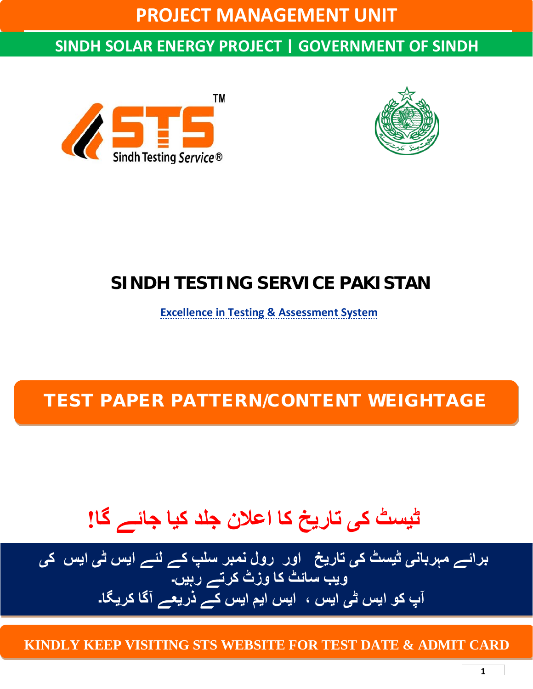**PROJECT MANAGEMENT UNIT**

### **SINDH SOLAR ENERGY PROJECT | GOVERNMENT OF SINDH**





## **SINDH TESTING SERVICE PAKISTAN**

**Excellence in Testing & Assessment System**

### TEST PAPER PATTERN/CONTENT WEIGHTAGE

## **ڻیسٹ کی تاریخ کا اعلان جلد کیا جائے گا!**

**برائے مہربانی ڻیسٹ کی تاریخ اور رول نمبر سلپ کے لئے ایس ڻی ایس کی ویب سائٹ کا وزٹ کرتے رہیں۔ آپ کو ایس ڻی ایس ، ایس ایم ایس کے ذریعے آگا کریگا۔**

**KINDLY KEEP VISITING STS WEBSITE FOR TEST DATE & ADMIT CARD**